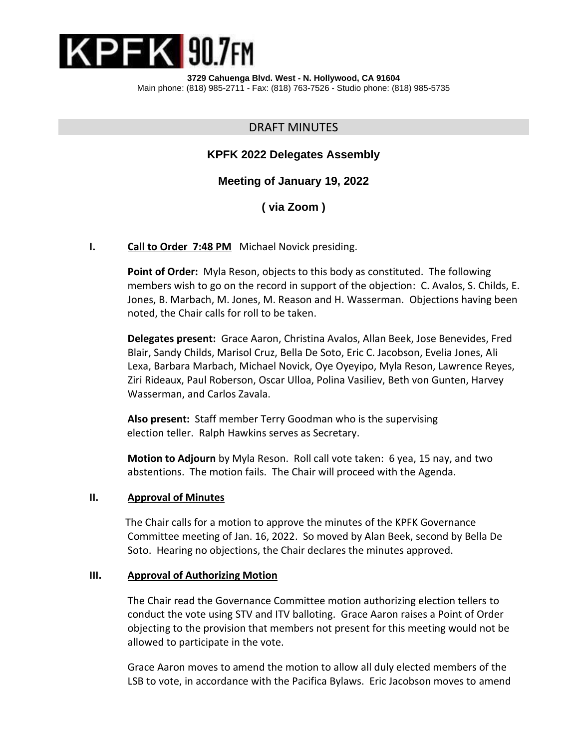

**3729 Cahuenga Blvd. West - N. Hollywood, CA 91604** Main phone: (818) 985-2711 - Fax: (818) 763-7526 - Studio phone: (818) 985-5735

# DRAFT MINUTES

# **KPFK 2022 Delegates Assembly**

**Meeting of January 19, 2022**

**( via Zoom )**

#### **I. Call to Order 7:48 PM** Michael Novick presiding.

**Point of Order:** Myla Reson, objects to this body as constituted. The following members wish to go on the record in support of the objection: C. Avalos, S. Childs, E. Jones, B. Marbach, M. Jones, M. Reason and H. Wasserman. Objections having been noted, the Chair calls for roll to be taken.

**Delegates present:** Grace Aaron, Christina Avalos, Allan Beek, Jose Benevides, Fred Blair, Sandy Childs, Marisol Cruz, Bella De Soto, Eric C. Jacobson, Evelia Jones, Ali Lexa, Barbara Marbach, Michael Novick, Oye Oyeyipo, Myla Reson, Lawrence Reyes, Ziri Rideaux, Paul Roberson, Oscar Ulloa, Polina Vasiliev, Beth von Gunten, Harvey Wasserman, and Carlos Zavala.

**Also present:** Staff member Terry Goodman who is the supervising election teller. Ralph Hawkins serves as Secretary.

**Motion to Adjourn** by Myla Reson. Roll call vote taken: 6 yea, 15 nay, and two abstentions. The motion fails. The Chair will proceed with the Agenda.

#### **II. Approval of Minutes**

 The Chair calls for a motion to approve the minutes of the KPFK Governance Committee meeting of Jan. 16, 2022. So moved by Alan Beek, second by Bella De Soto. Hearing no objections, the Chair declares the minutes approved.

#### **III. Approval of Authorizing Motion**

The Chair read the Governance Committee motion authorizing election tellers to conduct the vote using STV and ITV balloting. Grace Aaron raises a Point of Order objecting to the provision that members not present for this meeting would not be allowed to participate in the vote.

Grace Aaron moves to amend the motion to allow all duly elected members of the LSB to vote, in accordance with the Pacifica Bylaws. Eric Jacobson moves to amend